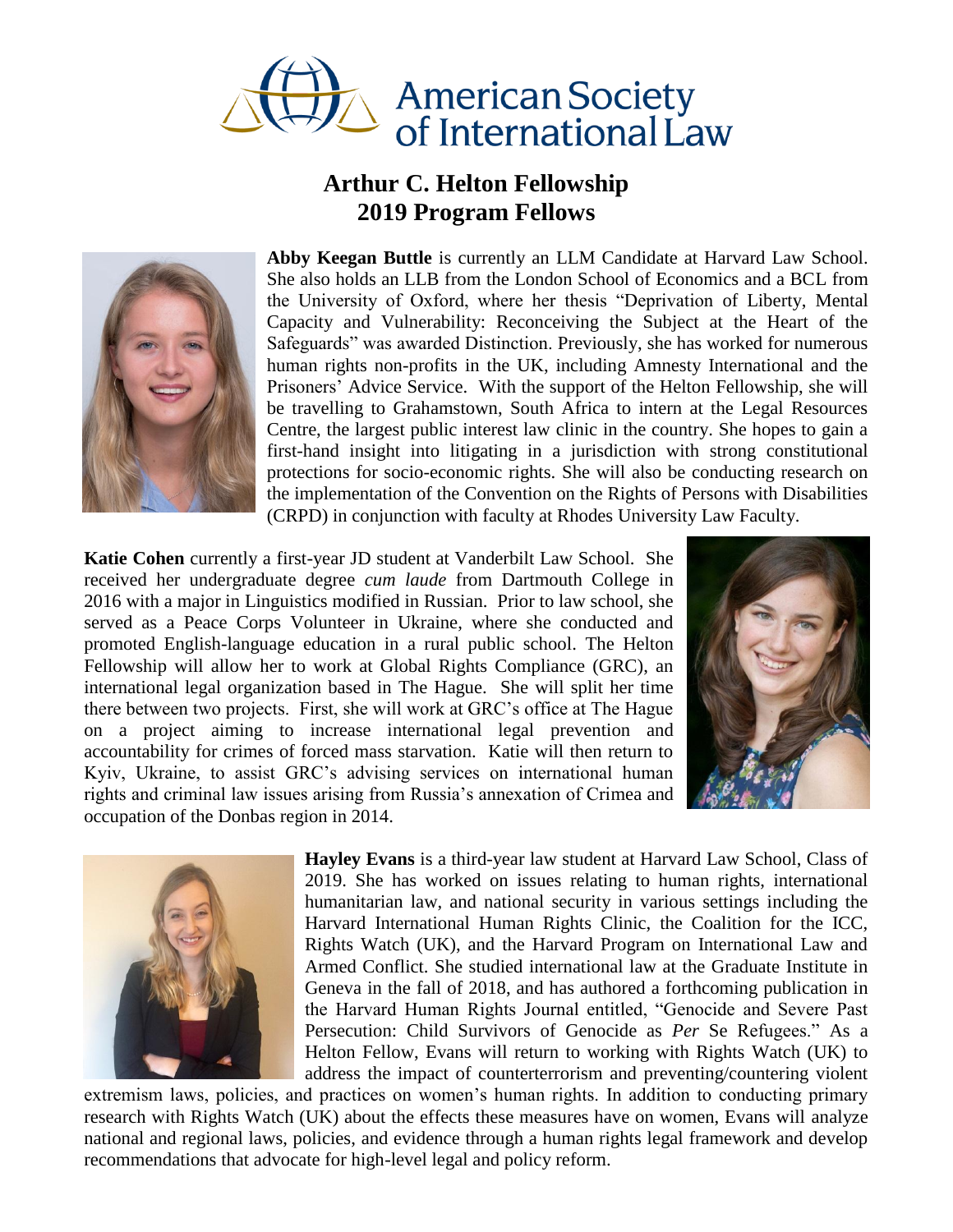

## **Arthur C. Helton Fellowship 2019 Program Fellows**



**Abby Keegan Buttle** is currently an LLM Candidate at Harvard Law School. She also holds an LLB from the London School of Economics and a BCL from the University of Oxford, where her thesis "Deprivation of Liberty, Mental Capacity and Vulnerability: Reconceiving the Subject at the Heart of the Safeguards" was awarded Distinction. Previously, she has worked for numerous human rights non-profits in the UK, including Amnesty International and the Prisoners' Advice Service. With the support of the Helton Fellowship, she will be travelling to Grahamstown, South Africa to intern at the Legal Resources Centre, the largest public interest law clinic in the country. She hopes to gain a first-hand insight into litigating in a jurisdiction with strong constitutional protections for socio-economic rights. She will also be conducting research on the implementation of the Convention on the Rights of Persons with Disabilities (CRPD) in conjunction with faculty at Rhodes University Law Faculty.

**Katie Cohen** currently a first-year JD student at Vanderbilt Law School. She received her undergraduate degree *cum laude* from Dartmouth College in 2016 with a major in Linguistics modified in Russian. Prior to law school, she served as a Peace Corps Volunteer in Ukraine, where she conducted and promoted English-language education in a rural public school. The Helton Fellowship will allow her to work at Global Rights Compliance (GRC), an international legal organization based in The Hague. She will split her time there between two projects. First, she will work at GRC's office at The Hague on a project aiming to increase international legal prevention and accountability for crimes of forced mass starvation. Katie will then return to Kyiv, Ukraine, to assist GRC's advising services on international human rights and criminal law issues arising from Russia's annexation of Crimea and occupation of the Donbas region in 2014.





**Hayley Evans** is a third-year law student at Harvard Law School, Class of 2019. She has worked on issues relating to human rights, international humanitarian law, and national security in various settings including the Harvard International Human Rights Clinic, the Coalition for the ICC, Rights Watch (UK), and the Harvard Program on International Law and Armed Conflict. She studied international law at the Graduate Institute in Geneva in the fall of 2018, and has authored a forthcoming publication in the Harvard Human Rights Journal entitled, "Genocide and Severe Past Persecution: Child Survivors of Genocide as *Per* Se Refugees." As a Helton Fellow, Evans will return to working with Rights Watch (UK) to address the impact of counterterrorism and preventing/countering violent

extremism laws, policies, and practices on women's human rights. In addition to conducting primary research with Rights Watch (UK) about the effects these measures have on women, Evans will analyze national and regional laws, policies, and evidence through a human rights legal framework and develop recommendations that advocate for high-level legal and policy reform.